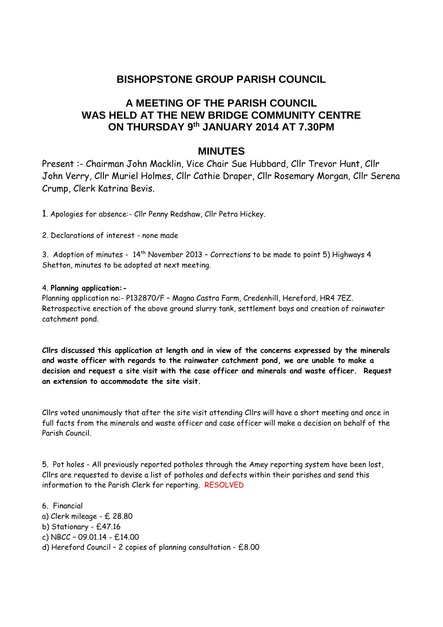# **BISHOPSTONE GROUP PARISH COUNCIL**

# **A MEETING OF THE PARISH COUNCIL WAS HELD AT THE NEW BRIDGE COMMUNITY CENTRE ON THURSDAY 9th JANUARY 2014 AT 7.30PM**

## **MINUTES**

Present :- Chairman John Macklin, Vice Chair Sue Hubbard, Cllr Trevor Hunt, Cllr John Verry, Cllr Muriel Holmes, Cllr Cathie Draper, Cllr Rosemary Morgan, Cllr Serena Crump, Clerk Katrina Bevis.

1. Apologies for absence:- Cllr Penny Redshaw, Cllr Petra Hickey.

2. Declarations of interest - none made

3. Adoption of minutes - 14th November 2013 – Corrections to be made to point 5) Highways 4 Shetton, minutes to be adopted at next meeting.

### 4. **Planning application:-**

Planning application no:- P132870/F – Magna Castra Farm, Credenhill, Hereford, HR4 7EZ. Retrospective erection of the above ground slurry tank, settlement bays and creation of rainwater catchment pond.

**Cllrs discussed this application at length and in view of the concerns expressed by the minerals and waste officer with regards to the rainwater catchment pond, we are unable to make a decision and request a site visit with the case officer and minerals and waste officer. Request an extension to accommodate the site visit.**

Cllrs voted unanimously that after the site visit attending Cllrs will have a short meeting and once in full facts from the minerals and waste officer and case officer will make a decision on behalf of the Parish Council.

5. Pot holes - All previously reported potholes through the Amey reporting system have been lost, Cllrs are requested to devise a list of potholes and defects within their parishes and send this information to the Parish Clerk for reporting. RESOLVED

6. Financial a) Clerk mileage - £ 28.80 b) Stationary - £47.16 c) NBCC – 09.01.14 - £14.00 d) Hereford Council – 2 copies of planning consultation - £8.00